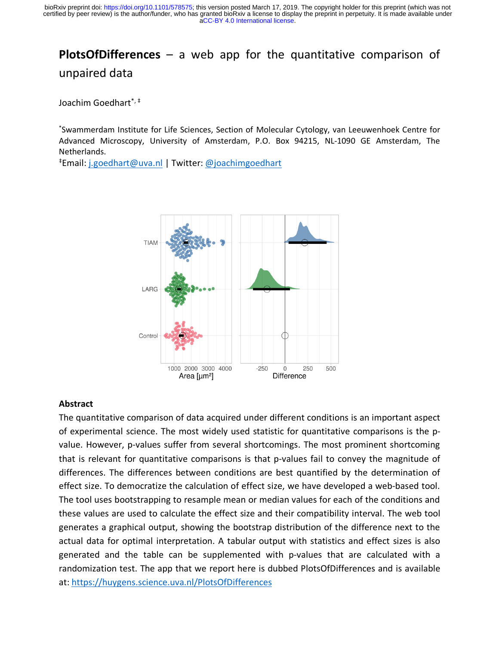# **PlotsOfDifferences** – a web app for the quantitative comparison of unpaired data

Joachim Goedhart\*, ‡

\* Swammerdam Institute for Life Sciences, Section of Molecular Cytology, van Leeuwenhoek Centre for Advanced Microscopy, University of Amsterdam, P.O. Box 94215, NL-1090 GE Amsterdam, The Netherlands.

‡ Email: j.goedhart@uva.nl | Twitter: @joachimgoedhart



#### **Abstract**

The quantitative comparison of data acquired under different conditions is an important aspect of experimental science. The most widely used statistic for quantitative comparisons is the pvalue. However, p-values suffer from several shortcomings. The most prominent shortcoming that is relevant for quantitative comparisons is that p-values fail to convey the magnitude of differences. The differences between conditions are best quantified by the determination of effect size. To democratize the calculation of effect size, we have developed a web-based tool. The tool uses bootstrapping to resample mean or median values for each of the conditions and these values are used to calculate the effect size and their compatibility interval. The web tool generates a graphical output, showing the bootstrap distribution of the difference next to the actual data for optimal interpretation. A tabular output with statistics and effect sizes is also generated and the table can be supplemented with p-values that are calculated with a randomization test. The app that we report here is dubbed PlotsOfDifferences and is available at: https://huygens.science.uva.nl/PlotsOfDifferences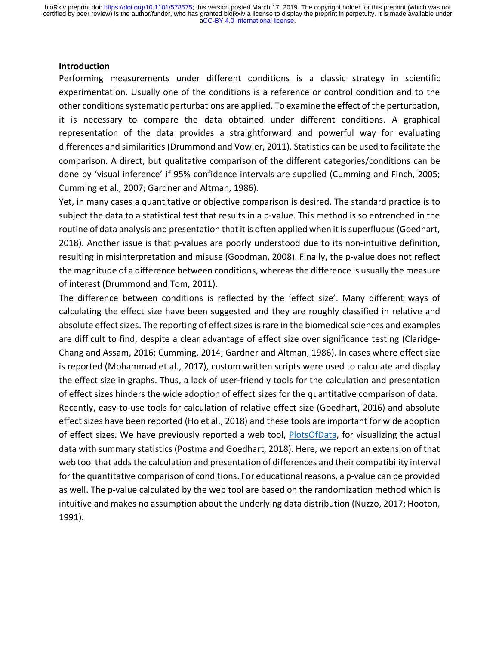#### **Introduction**

Performing measurements under different conditions is a classic strategy in scientific experimentation. Usually one of the conditions is a reference or control condition and to the other conditions systematic perturbations are applied. To examine the effect of the perturbation, it is necessary to compare the data obtained under different conditions. A graphical representation of the data provides a straightforward and powerful way for evaluating differences and similarities (Drummond and Vowler, 2011). Statistics can be used to facilitate the comparison. A direct, but qualitative comparison of the different categories/conditions can be done by 'visual inference' if 95% confidence intervals are supplied (Cumming and Finch, 2005; Cumming et al., 2007; Gardner and Altman, 1986).

Yet, in many cases a quantitative or objective comparison is desired. The standard practice is to subject the data to a statistical test that results in a p-value. This method is so entrenched in the routine of data analysis and presentation that it is often applied when it is superfluous (Goedhart, 2018). Another issue is that p-values are poorly understood due to its non-intuitive definition, resulting in misinterpretation and misuse (Goodman, 2008). Finally, the p-value does not reflect the magnitude of a difference between conditions, whereas the difference is usually the measure of interest (Drummond and Tom, 2011).

The difference between conditions is reflected by the 'effect size'. Many different ways of calculating the effect size have been suggested and they are roughly classified in relative and absolute effect sizes. The reporting of effect sizes is rare in the biomedical sciences and examples are difficult to find, despite a clear advantage of effect size over significance testing (Claridge-Chang and Assam, 2016; Cumming, 2014; Gardner and Altman, 1986). In cases where effect size is reported (Mohammad et al., 2017), custom written scripts were used to calculate and display the effect size in graphs. Thus, a lack of user-friendly tools for the calculation and presentation of effect sizes hinders the wide adoption of effect sizes for the quantitative comparison of data. Recently, easy-to-use tools for calculation of relative effect size (Goedhart, 2016) and absolute effect sizes have been reported (Ho et al., 2018) and these tools are important for wide adoption of effect sizes. We have previously reported a web tool, PlotsOfData, for visualizing the actual data with summary statistics (Postma and Goedhart, 2018). Here, we report an extension of that web tool that adds the calculation and presentation of differences and their compatibility interval for the quantitative comparison of conditions. For educational reasons, a p-value can be provided as well. The p-value calculated by the web tool are based on the randomization method which is intuitive and makes no assumption about the underlying data distribution (Nuzzo, 2017; Hooton, 1991).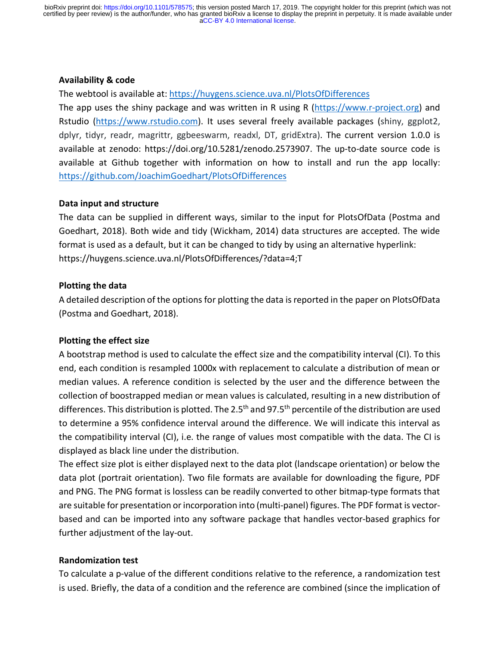# **Availability & code**

The webtool is available at: https://huygens.science.uva.nl/PlotsOfDifferences

The app uses the shiny package and was written in R using R (https://www.r-project.org) and Rstudio (https://www.rstudio.com). It uses several freely available packages (shiny, ggplot2, dplyr, tidyr, readr, magrittr, ggbeeswarm, readxl, DT, gridExtra). The current version 1.0.0 is available at zenodo: https://doi.org/10.5281/zenodo.2573907. The up-to-date source code is available at Github together with information on how to install and run the app locally: https://github.com/JoachimGoedhart/PlotsOfDifferences

# **Data input and structure**

The data can be supplied in different ways, similar to the input for PlotsOfData (Postma and Goedhart, 2018). Both wide and tidy (Wickham, 2014) data structures are accepted. The wide format is used as a default, but it can be changed to tidy by using an alternative hyperlink: https://huygens.science.uva.nl/PlotsOfDifferences/?data=4;T

# **Plotting the data**

A detailed description of the options for plotting the data is reported in the paper on PlotsOfData (Postma and Goedhart, 2018).

# **Plotting the effect size**

A bootstrap method is used to calculate the effect size and the compatibility interval (CI). To this end, each condition is resampled 1000x with replacement to calculate a distribution of mean or median values. A reference condition is selected by the user and the difference between the collection of boostrapped median or mean values is calculated, resulting in a new distribution of differences. This distribution is plotted. The 2.5<sup>th</sup> and 97.5<sup>th</sup> percentile of the distribution are used to determine a 95% confidence interval around the difference. We will indicate this interval as the compatibility interval (CI), i.e. the range of values most compatible with the data. The CI is displayed as black line under the distribution.

The effect size plot is either displayed next to the data plot (landscape orientation) or below the data plot (portrait orientation). Two file formats are available for downloading the figure, PDF and PNG. The PNG format is lossless can be readily converted to other bitmap-type formats that are suitable for presentation or incorporation into (multi-panel) figures. The PDF format is vectorbased and can be imported into any software package that handles vector-based graphics for further adjustment of the lay-out.

# **Randomization test**

To calculate a p-value of the different conditions relative to the reference, a randomization test is used. Briefly, the data of a condition and the reference are combined (since the implication of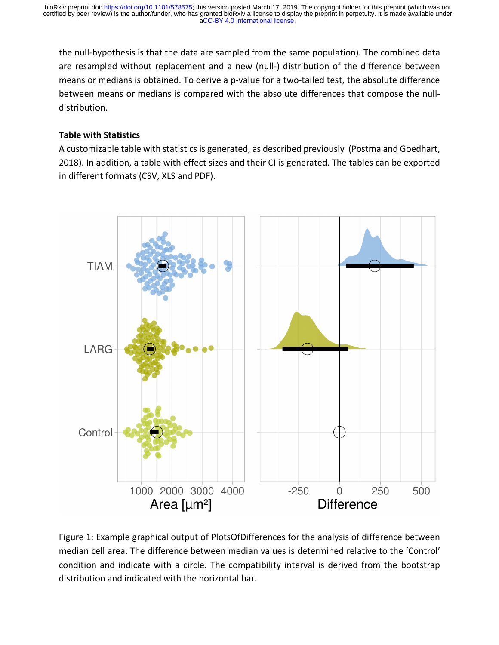the null-hypothesis is that the data are sampled from the same population). The combined data are resampled without replacement and a new (null-) distribution of the difference between means or medians is obtained. To derive a p-value for a two-tailed test, the absolute difference between means or medians is compared with the absolute differences that compose the nulldistribution.

# **Table with Statistics**

A customizable table with statistics is generated, as described previously (Postma and Goedhart, 2018). In addition, a table with effect sizes and their CI is generated. The tables can be exported in different formats (CSV, XLS and PDF).



Figure 1: Example graphical output of PlotsOfDifferences for the analysis of difference between median cell area. The difference between median values is determined relative to the 'Control' condition and indicate with a circle. The compatibility interval is derived from the bootstrap distribution and indicated with the horizontal bar.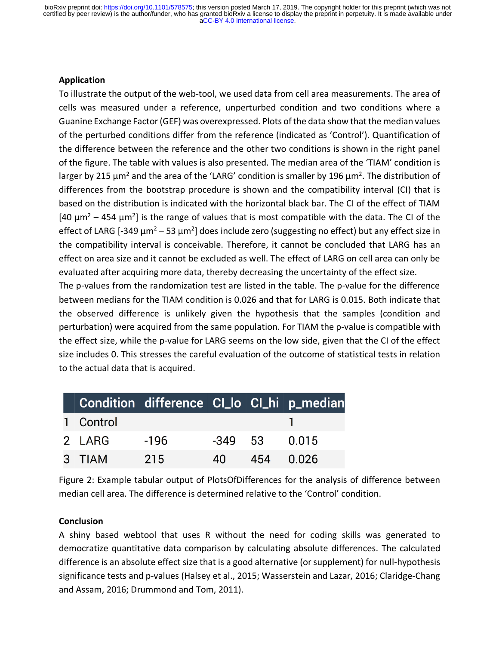#### **Application**

To illustrate the output of the web-tool, we used data from cell area measurements. The area of cells was measured under a reference, unperturbed condition and two conditions where a Guanine Exchange Factor (GEF) was overexpressed. Plots of the data show that the median values of the perturbed conditions differ from the reference (indicated as 'Control'). Quantification of the difference between the reference and the other two conditions is shown in the right panel of the figure. The table with values is also presented. The median area of the 'TIAM' condition is larger by 215  $\mu$ m<sup>2</sup> and the area of the 'LARG' condition is smaller by 196  $\mu$ m<sup>2</sup>. The distribution of differences from the bootstrap procedure is shown and the compatibility interval (CI) that is based on the distribution is indicated with the horizontal black bar. The CI of the effect of TIAM  $[40 \mu m^2 - 454 \mu m^2]$  is the range of values that is most compatible with the data. The CI of the effect of LARG [-349  $\mu$ m<sup>2</sup> – 53  $\mu$ m<sup>2</sup>] does include zero (suggesting no effect) but any effect size in the compatibility interval is conceivable. Therefore, it cannot be concluded that LARG has an effect on area size and it cannot be excluded as well. The effect of LARG on cell area can only be evaluated after acquiring more data, thereby decreasing the uncertainty of the effect size.

The p-values from the randomization test are listed in the table. The p-value for the difference between medians for the TIAM condition is 0.026 and that for LARG is 0.015. Both indicate that the observed difference is unlikely given the hypothesis that the samples (condition and perturbation) were acquired from the same population. For TIAM the p-value is compatible with the effect size, while the p-value for LARG seems on the low side, given that the CI of the effect size includes 0. This stresses the careful evaluation of the outcome of statistical tests in relation to the actual data that is acquired.

|           | Condition difference CI_lo CI_hi p_median |      |                 |  |
|-----------|-------------------------------------------|------|-----------------|--|
| 1 Control |                                           |      |                 |  |
| 2 LARG    | $-196$                                    |      | $-349$ 53 0.015 |  |
| 3 TIAM    | 215                                       | 40 L | 454 0.026       |  |

Figure 2: Example tabular output of PlotsOfDifferences for the analysis of difference between median cell area. The difference is determined relative to the 'Control' condition.

#### **Conclusion**

A shiny based webtool that uses R without the need for coding skills was generated to democratize quantitative data comparison by calculating absolute differences. The calculated difference is an absolute effect size that is a good alternative (or supplement) for null-hypothesis significance tests and p-values (Halsey et al., 2015; Wasserstein and Lazar, 2016; Claridge-Chang and Assam, 2016; Drummond and Tom, 2011).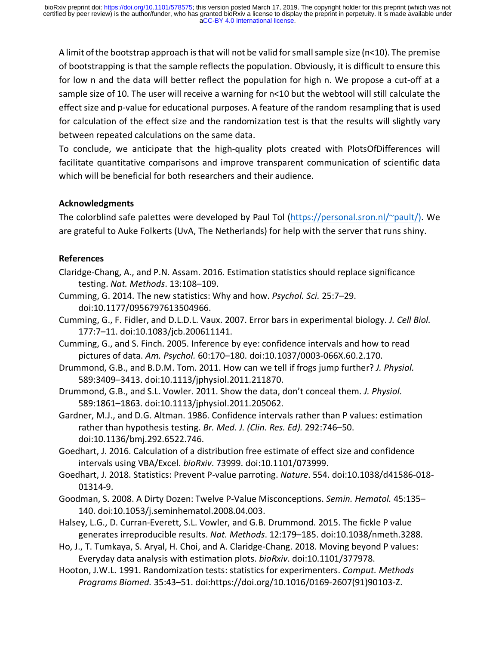A limit of the bootstrap approach is that will not be valid for small sample size (n<10). The premise of bootstrapping is that the sample reflects the population. Obviously, it is difficult to ensure this for low n and the data will better reflect the population for high n. We propose a cut-off at a sample size of 10. The user will receive a warning for  $n<$ 10 but the webtool will still calculate the effect size and p-value for educational purposes. A feature of the random resampling that is used for calculation of the effect size and the randomization test is that the results will slightly vary between repeated calculations on the same data.

To conclude, we anticipate that the high-quality plots created with PlotsOfDifferences will facilitate quantitative comparisons and improve transparent communication of scientific data which will be beneficial for both researchers and their audience.

#### **Acknowledgments**

The colorblind safe palettes were developed by Paul Tol (https://personal.sron.nl/~pault/). We are grateful to Auke Folkerts (UvA, The Netherlands) for help with the server that runs shiny.

#### **References**

- Claridge-Chang, A., and P.N. Assam. 2016. Estimation statistics should replace significance testing. *Nat. Methods*. 13:108–109.
- Cumming, G. 2014. The new statistics: Why and how. *Psychol. Sci.* 25:7–29. doi:10.1177/0956797613504966.
- Cumming, G., F. Fidler, and D.L.D.L. Vaux. 2007. Error bars in experimental biology. *J. Cell Biol.* 177:7–11. doi:10.1083/jcb.200611141.
- Cumming, G., and S. Finch. 2005. Inference by eye: confidence intervals and how to read pictures of data. *Am. Psychol.* 60:170–180. doi:10.1037/0003-066X.60.2.170.
- Drummond, G.B., and B.D.M. Tom. 2011. How can we tell if frogs jump further? *J. Physiol.* 589:3409–3413. doi:10.1113/jphysiol.2011.211870.
- Drummond, G.B., and S.L. Vowler. 2011. Show the data, don't conceal them. *J. Physiol.* 589:1861–1863. doi:10.1113/jphysiol.2011.205062.
- Gardner, M.J., and D.G. Altman. 1986. Confidence intervals rather than P values: estimation rather than hypothesis testing. *Br. Med. J. (Clin. Res. Ed).* 292:746–50. doi:10.1136/bmj.292.6522.746.
- Goedhart, J. 2016. Calculation of a distribution free estimate of effect size and confidence intervals using VBA/Excel. *bioRxiv*. 73999. doi:10.1101/073999.
- Goedhart, J. 2018. Statistics: Prevent P-value parroting. *Nature*. 554. doi:10.1038/d41586-018- 01314-9.
- Goodman, S. 2008. A Dirty Dozen: Twelve P-Value Misconceptions. *Semin. Hematol.* 45:135– 140. doi:10.1053/j.seminhematol.2008.04.003.
- Halsey, L.G., D. Curran-Everett, S.L. Vowler, and G.B. Drummond. 2015. The fickle P value generates irreproducible results. *Nat. Methods*. 12:179–185. doi:10.1038/nmeth.3288.
- Ho, J., T. Tumkaya, S. Aryal, H. Choi, and A. Claridge-Chang. 2018. Moving beyond P values: Everyday data analysis with estimation plots. *bioRxiv*. doi:10.1101/377978.
- Hooton, J.W.L. 1991. Randomization tests: statistics for experimenters. *Comput. Methods Programs Biomed.* 35:43–51. doi:https://doi.org/10.1016/0169-2607(91)90103-Z.